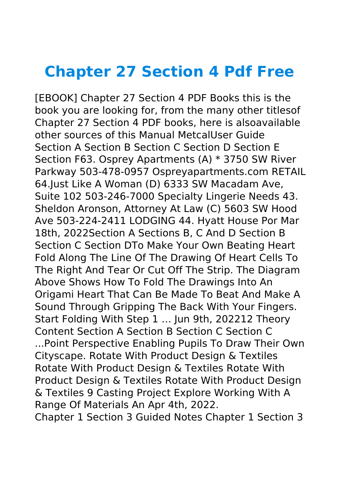## **Chapter 27 Section 4 Pdf Free**

[EBOOK] Chapter 27 Section 4 PDF Books this is the book you are looking for, from the many other titlesof Chapter 27 Section 4 PDF books, here is alsoavailable other sources of this Manual MetcalUser Guide Section A Section B Section C Section D Section E Section F63. Osprey Apartments (A) \* 3750 SW River Parkway 503-478-0957 Ospreyapartments.com RETAIL 64.Just Like A Woman (D) 6333 SW Macadam Ave, Suite 102 503-246-7000 Specialty Lingerie Needs 43. Sheldon Aronson, Attorney At Law (C) 5603 SW Hood Ave 503-224-2411 LODGING 44. Hyatt House Por Mar 18th, 2022Section A Sections B, C And D Section B Section C Section DTo Make Your Own Beating Heart Fold Along The Line Of The Drawing Of Heart Cells To The Right And Tear Or Cut Off The Strip. The Diagram Above Shows How To Fold The Drawings Into An Origami Heart That Can Be Made To Beat And Make A Sound Through Gripping The Back With Your Fingers. Start Folding With Step 1 … Jun 9th, 202212 Theory Content Section A Section B Section C Section C ...Point Perspective Enabling Pupils To Draw Their Own Cityscape. Rotate With Product Design & Textiles Rotate With Product Design & Textiles Rotate With Product Design & Textiles Rotate With Product Design & Textiles 9 Casting Project Explore Working With A Range Of Materials An Apr 4th, 2022. Chapter 1 Section 3 Guided Notes Chapter 1 Section 3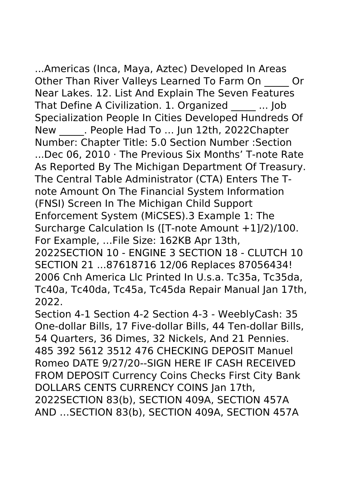...Americas (Inca, Maya, Aztec) Developed In Areas Other Than River Valleys Learned To Farm On \_\_\_\_\_ Or Near Lakes. 12. List And Explain The Seven Features That Define A Civilization. 1. Organized \_\_\_\_\_ ... Job Specialization People In Cities Developed Hundreds Of New Reople Had To ... Jun 12th, 2022Chapter Number: Chapter Title: 5.0 Section Number :Section ...Dec 06, 2010 · The Previous Six Months' T-note Rate As Reported By The Michigan Department Of Treasury. The Central Table Administrator (CTA) Enters The Tnote Amount On The Financial System Information (FNSI) Screen In The Michigan Child Support Enforcement System (MiCSES).3 Example 1: The Surcharge Calculation Is ([T-note Amount +1]/2)/100. For Example, …File Size: 162KB Apr 13th, 2022SECTION 10 - ENGINE 3 SECTION 18 - CLUTCH 10 SECTION 21 ...87618716 12/06 Replaces 87056434! 2006 Cnh America Llc Printed In U.s.a. Tc35a, Tc35da, Tc40a, Tc40da, Tc45a, Tc45da Repair Manual Jan 17th, 2022.

Section 4-1 Section 4-2 Section 4-3 - WeeblyCash: 35 One-dollar Bills, 17 Five-dollar Bills, 44 Ten-dollar Bills, 54 Quarters, 36 Dimes, 32 Nickels, And 21 Pennies. 485 392 5612 3512 476 CHECKING DEPOSIT Manuel Romeo DATE 9/27/20--SIGN HERE IF CASH RECEIVED FROM DEPOSIT Currency Coins Checks First City Bank DOLLARS CENTS CURRENCY COINS Jan 17th, 2022SECTION 83(b), SECTION 409A, SECTION 457A AND …SECTION 83(b), SECTION 409A, SECTION 457A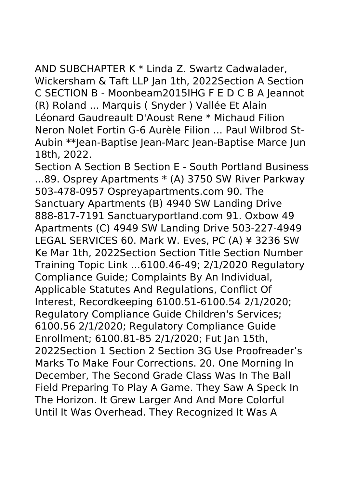AND SUBCHAPTER K \* Linda Z. Swartz Cadwalader, Wickersham & Taft LLP Jan 1th, 2022Section A Section C SECTION B - Moonbeam2015IHG F E D C B A Jeannot (R) Roland ... Marquis ( Snyder ) Vallée Et Alain Léonard Gaudreault D'Aoust Rene \* Michaud Filion Neron Nolet Fortin G-6 Aurèle Filion ... Paul Wilbrod St-Aubin \*\*Jean-Baptise Jean-Marc Jean-Baptise Marce Jun 18th, 2022.

Section A Section B Section E - South Portland Business ...89. Osprey Apartments \* (A) 3750 SW River Parkway 503-478-0957 Ospreyapartments.com 90. The Sanctuary Apartments (B) 4940 SW Landing Drive 888-817-7191 Sanctuaryportland.com 91. Oxbow 49 Apartments (C) 4949 SW Landing Drive 503-227-4949 LEGAL SERVICES 60. Mark W. Eves, PC (A) ¥ 3236 SW Ke Mar 1th, 2022Section Section Title Section Number Training Topic Link ...6100.46-49; 2/1/2020 Regulatory Compliance Guide; Complaints By An Individual, Applicable Statutes And Regulations, Conflict Of Interest, Recordkeeping 6100.51-6100.54 2/1/2020; Regulatory Compliance Guide Children's Services; 6100.56 2/1/2020; Regulatory Compliance Guide Enrollment; 6100.81-85 2/1/2020; Fut Jan 15th, 2022Section 1 Section 2 Section 3G Use Proofreader's Marks To Make Four Corrections. 20. One Morning In December, The Second Grade Class Was In The Ball Field Preparing To Play A Game. They Saw A Speck In The Horizon. It Grew Larger And And More Colorful Until It Was Overhead. They Recognized It Was A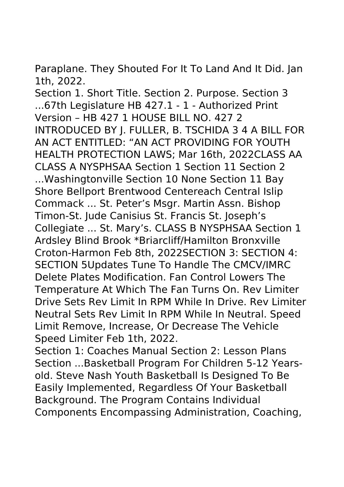Paraplane. They Shouted For It To Land And It Did. Jan 1th, 2022.

Section 1. Short Title. Section 2. Purpose. Section 3 ...67th Legislature HB 427.1 - 1 - Authorized Print Version – HB 427 1 HOUSE BILL NO. 427 2 INTRODUCED BY J. FULLER, B. TSCHIDA 3 4 A BILL FOR AN ACT ENTITLED: "AN ACT PROVIDING FOR YOUTH HEALTH PROTECTION LAWS; Mar 16th, 2022CLASS AA CLASS A NYSPHSAA Section 1 Section 11 Section 2 ...Washingtonville Section 10 None Section 11 Bay Shore Bellport Brentwood Centereach Central Islip Commack ... St. Peter's Msgr. Martin Assn. Bishop Timon-St. Jude Canisius St. Francis St. Joseph's Collegiate ... St. Mary's. CLASS B NYSPHSAA Section 1 Ardsley Blind Brook \*Briarcliff/Hamilton Bronxville Croton-Harmon Feb 8th, 2022SECTION 3: SECTION 4: SECTION 5Updates Tune To Handle The CMCV/IMRC Delete Plates Modification. Fan Control Lowers The Temperature At Which The Fan Turns On. Rev Limiter Drive Sets Rev Limit In RPM While In Drive. Rev Limiter Neutral Sets Rev Limit In RPM While In Neutral. Speed Limit Remove, Increase, Or Decrease The Vehicle Speed Limiter Feb 1th, 2022.

Section 1: Coaches Manual Section 2: Lesson Plans Section ...Basketball Program For Children 5-12 Yearsold. Steve Nash Youth Basketball Is Designed To Be Easily Implemented, Regardless Of Your Basketball Background. The Program Contains Individual Components Encompassing Administration, Coaching,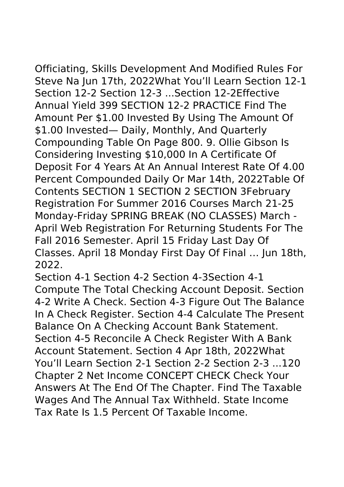Officiating, Skills Development And Modified Rules For Steve Na Jun 17th, 2022What You'll Learn Section 12-1 Section 12-2 Section 12-3 ...Section 12-2Effective Annual Yield 399 SECTION 12-2 PRACTICE Find The Amount Per \$1.00 Invested By Using The Amount Of \$1.00 Invested— Daily, Monthly, And Quarterly Compounding Table On Page 800. 9. Ollie Gibson Is Considering Investing \$10,000 In A Certificate Of Deposit For 4 Years At An Annual Interest Rate Of 4.00 Percent Compounded Daily Or Mar 14th, 2022Table Of Contents SECTION 1 SECTION 2 SECTION 3February Registration For Summer 2016 Courses March 21-25 Monday-Friday SPRING BREAK (NO CLASSES) March - April Web Registration For Returning Students For The Fall 2016 Semester. April 15 Friday Last Day Of Classes. April 18 Monday First Day Of Final … Jun 18th, 2022.

Section 4-1 Section 4-2 Section 4-3Section 4-1 Compute The Total Checking Account Deposit. Section 4-2 Write A Check. Section 4-3 Figure Out The Balance In A Check Register. Section 4-4 Calculate The Present Balance On A Checking Account Bank Statement. Section 4-5 Reconcile A Check Register With A Bank Account Statement. Section 4 Apr 18th, 2022What You'll Learn Section 2-1 Section 2-2 Section 2-3 ...120 Chapter 2 Net Income CONCEPT CHECK Check Your Answers At The End Of The Chapter. Find The Taxable Wages And The Annual Tax Withheld. State Income Tax Rate Is 1.5 Percent Of Taxable Income.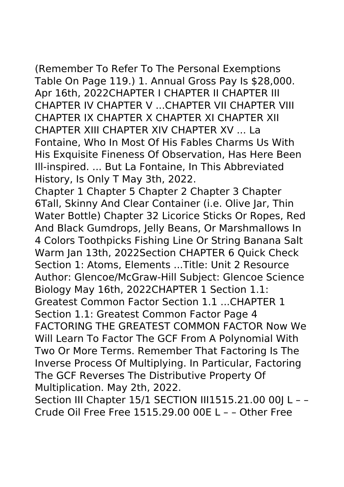(Remember To Refer To The Personal Exemptions Table On Page 119.) 1. Annual Gross Pay Is \$28,000. Apr 16th, 2022CHAPTER I CHAPTER II CHAPTER III CHAPTER IV CHAPTER V ...CHAPTER VII CHAPTER VIII CHAPTER IX CHAPTER X CHAPTER XI CHAPTER XII CHAPTER XIII CHAPTER XIV CHAPTER XV ... La Fontaine, Who In Most Of His Fables Charms Us With His Exquisite Fineness Of Observation, Has Here Been Ill-inspired. ... But La Fontaine, In This Abbreviated History, Is Only T May 3th, 2022.

Chapter 1 Chapter 5 Chapter 2 Chapter 3 Chapter 6Tall, Skinny And Clear Container (i.e. Olive Jar, Thin Water Bottle) Chapter 32 Licorice Sticks Or Ropes, Red And Black Gumdrops, Jelly Beans, Or Marshmallows In 4 Colors Toothpicks Fishing Line Or String Banana Salt Warm Jan 13th, 2022Section CHAPTER 6 Quick Check Section 1: Atoms, Elements ...Title: Unit 2 Resource Author: Glencoe/McGraw-Hill Subject: Glencoe Science Biology May 16th, 2022CHAPTER 1 Section 1.1: Greatest Common Factor Section 1.1 ...CHAPTER 1 Section 1.1: Greatest Common Factor Page 4 FACTORING THE GREATEST COMMON FACTOR Now We Will Learn To Factor The GCF From A Polynomial With Two Or More Terms. Remember That Factoring Is The Inverse Process Of Multiplying. In Particular, Factoring The GCF Reverses The Distributive Property Of Multiplication. May 2th, 2022.

Section III Chapter 15/1 SECTION III1515.21.00 00J L – – Crude Oil Free Free 1515.29.00 00E L – – Other Free